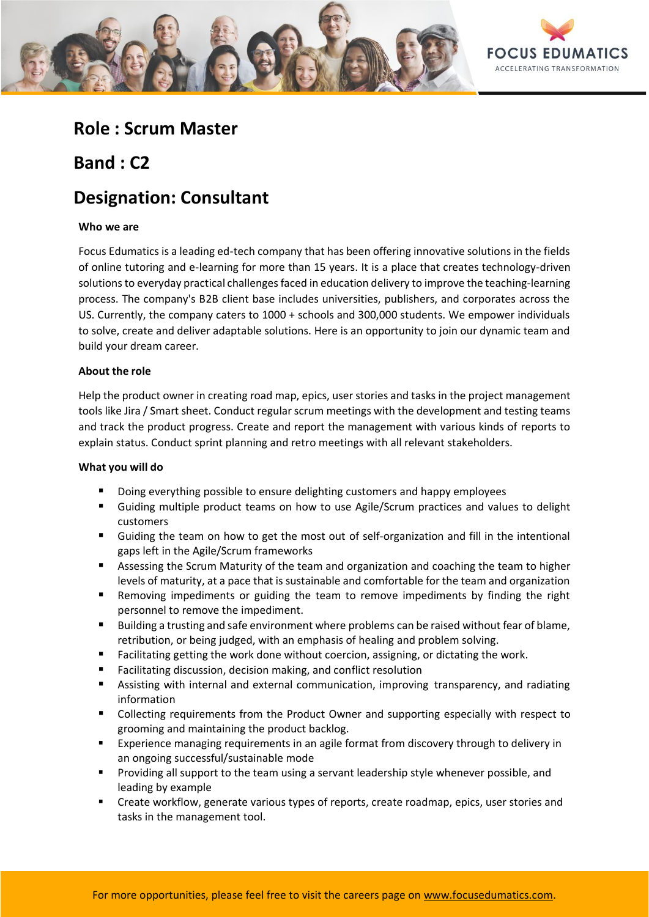

## **Role : Scrum Master**

## **Band : C2**

# **Designation: Consultant**

### **Who we are**

Focus Edumatics is a leading ed-tech company that has been offering innovative solutions in the fields of online tutoring and e-learning for more than 15 years. It is a place that creates technology-driven solutions to everyday practical challenges faced in education delivery to improve the teaching-learning process. The company's B2B client base includes universities, publishers, and corporates across the US. Currently, the company caters to 1000 + schools and 300,000 students. We empower individuals to solve, create and deliver adaptable solutions. Here is an opportunity to join our dynamic team and build your dream career.

### **About the role**

Help the product owner in creating road map, epics, user stories and tasks in the project management tools like Jira / Smart sheet. Conduct regular scrum meetings with the development and testing teams and track the product progress. Create and report the management with various kinds of reports to explain status. Conduct sprint planning and retro meetings with all relevant stakeholders.

### **What you will do**

- Doing everything possible to ensure delighting customers and happy employees
- Guiding multiple product teams on how to use Agile/Scrum practices and values to delight customers
- Guiding the team on how to get the most out of self-organization and fill in the intentional gaps left in the Agile/Scrum frameworks
- Assessing the Scrum Maturity of the team and organization and coaching the team to higher levels of maturity, at a pace that is sustainable and comfortable for the team and organization
- Removing impediments or guiding the team to remove impediments by finding the right personnel to remove the impediment.
- Building a trusting and safe environment where problems can be raised without fear of blame, retribution, or being judged, with an emphasis of healing and problem solving.
- Facilitating getting the work done without coercion, assigning, or dictating the work.
- Facilitating discussion, decision making, and conflict resolution
- Assisting with internal and external communication, improving transparency, and radiating information
- Collecting requirements from the Product Owner and supporting especially with respect to grooming and maintaining the product backlog.
- Experience managing requirements in an agile format from discovery through to delivery in an ongoing successful/sustainable mode
- **•** Providing all support to the team using a servant leadership style whenever possible, and leading by example
- Create workflow, generate various types of reports, create roadmap, epics, user stories and tasks in the management tool.